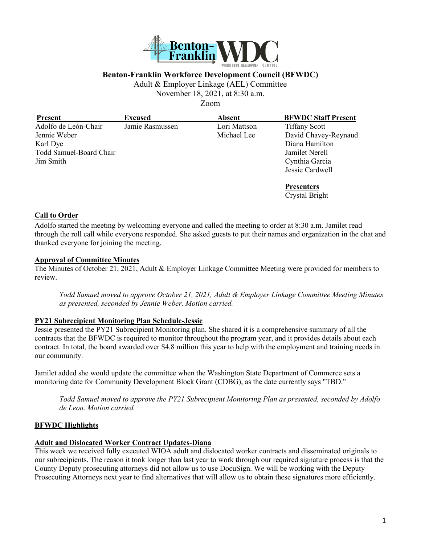

## **Benton-Franklin Workforce Development Council (BFWDC)**

Adult & Employer Linkage (AEL) Committee

November 18, 2021, at 8:30 a.m.

Zoom

| <b>Present</b>          | <b>Excused</b>  | <b>Absent</b> | <b>BFWDC Staff Present</b> |
|-------------------------|-----------------|---------------|----------------------------|
| Adolfo de León-Chair    | Jamie Rasmussen | Lori Mattson  | <b>Tiffany Scott</b>       |
| Jennie Weber            |                 | Michael Lee   | David Chavey-Reynaud       |
| Karl Dye                |                 |               | Diana Hamilton             |
| Todd Samuel-Board Chair |                 |               | Jamilet Nerell             |
| Jim Smith               |                 |               | Cynthia Garcia             |
|                         |                 |               | Jessie Cardwell            |
|                         |                 |               | <b>Presenters</b>          |
|                         |                 |               | Crystal Bright             |

#### **Call to Order**

Adolfo started the meeting by welcoming everyone and called the meeting to order at 8:30 a.m. Jamilet read through the roll call while everyone responded. She asked guests to put their names and organization in the chat and thanked everyone for joining the meeting.

#### **Approval of Committee Minutes**

The Minutes of October 21, 2021, Adult & Employer Linkage Committee Meeting were provided for members to review.

*Todd Samuel moved to approve October 21, 2021, Adult & Employer Linkage Committee Meeting Minutes as presented, seconded by Jennie Weber. Motion carried.*

## **PY21 Subrecipient Monitoring Plan Schedule-Jessie**

Jessie presented the PY21 Subrecipient Monitoring plan. She shared it is a comprehensive summary of all the contracts that the BFWDC is required to monitor throughout the program year, and it provides details about each contract. In total, the board awarded over \$4.8 million this year to help with the employment and training needs in our community.

Jamilet added she would update the committee when the Washington State Department of Commerce sets a monitoring date for Community Development Block Grant (CDBG), as the date currently says "TBD."

*Todd Samuel moved to approve the PY21 Subrecipient Monitoring Plan as presented, seconded by Adolfo de Leon. Motion carried.* 

## **BFWDC Highlights**

#### **Adult and Dislocated Worker Contract Updates-Diana**

This week we received fully executed WIOA adult and dislocated worker contracts and disseminated originals to our subrecipients. The reason it took longer than last year to work through our required signature process is that the County Deputy prosecuting attorneys did not allow us to use DocuSign. We will be working with the Deputy Prosecuting Attorneys next year to find alternatives that will allow us to obtain these signatures more efficiently.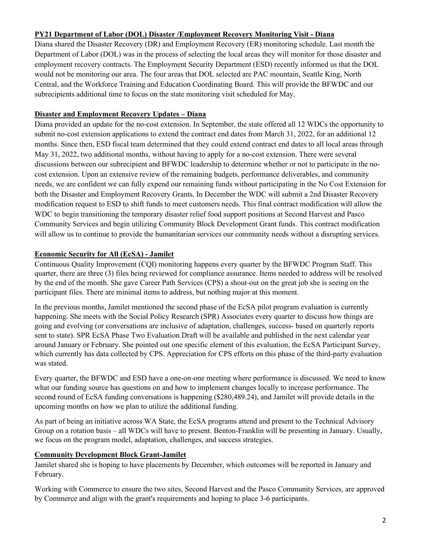## **PY21 Department of Labor (DOL) Disaster /Employment Recovery Monitoring Visit - Diana**

Diana shared the Disaster Recovery (DR) and Employment Recovery (ER) monitoring schedule. Last month the Department of Labor (DOL) was in the process of selecting the local areas they will monitor for those disaster and employment recovery contracts. The Employment Security Department (ESD) recently informed us that the DOL would not be monitoring our area. The four areas that DOL selected are PAC mountain, Seattle King, North Central, and the Workforce Training and Education Coordinating Board. This will provide the BFWDC and our subrecipients additional time to focus on the state monitoring visit scheduled for May.

## **Disaster and Employment Recovery Updates – Diana**

Diana provided an update for the no-cost extension. In September, the state offered all 12 WDCs the opportunity to submit no-cost extension applications to extend the contract end dates from March 31, 2022, for an additional 12 months. Since then, ESD fiscal team determined that they could extend contract end dates to all local areas through May 31, 2022, two additional months, without having to apply for a no-cost extension. There were several discussions between our subrecipient and BFWDC leadership to determine whether or not to participate in the nocost extension. Upon an extensive review of the remaining budgets, performance deliverables, and community needs, we are confident we can fully expend our remaining funds without participating in the No Cost Extension for both the Disaster and Employment Recovery Grants. In December the WDC will submit a 2nd Disaster Recovery modification request to ESD to shift funds to meet customers needs. This final contract modification will allow the WDC to begin transitioning the temporary disaster relief food support positions at Second Harvest and Pasco Community Services and begin utilizing Community Block Development Grant funds. This contract modification will allow us to continue to provide the humanitarian services our community needs without a disrupting services.

## **Economic Security for All (EcSA) - Jamilet**

Continuous Quality Improvement (CQI) monitoring happens every quarter by the BFWDC Program Staff. This quarter, there are three (3) files being reviewed for compliance assurance. Items needed to address will be resolved by the end of the month. She gave Career Path Services (CPS) a shout-out on the great job she is seeing on the participant files. There are minimal items to address, but nothing major at this moment.

In the previous months, Jamilet mentioned the second phase of the EcSA pilot program evaluation is currently happening. She meets with the Social Policy Research (SPR) Associates every quarter to discuss how things are going and evolving (or conversations are inclusive of adaptation, challenges, success- based on quarterly reports sent to state). SPR EcSA Phase Two Evaluation Draft will be available and published in the next calendar year around January or February. She pointed out one specific element of this evaluation, the EcSA Participant Survey, which currently has data collected by CPS. Appreciation for CPS efforts on this phase of the third-party evaluation was stated.

Every quarter, the BFWDC and ESD have a one-on-one meeting where performance is discussed. We need to know what our funding source has questions on and how to implement changes locally to increase performance. The second round of EcSA funding conversations is happening (\$280,489.24), and Jamilet will provide details in the upcoming months on how we plan to utilize the additional funding.

As part of being an initiative across WA State, the EcSA programs attend and present to the Technical Advisory Group on a rotation basis – all WDCs will have to present. Benton-Franklin will be presenting in January. Usually, we focus on the program model, adaptation, challenges, and success strategies.

# **Community Development Block Grant-Jamilet**

Jamilet shared she is hoping to have placements by December, which outcomes will be reported in January and February.

Working with Commerce to ensure the two sites, Second Harvest and the Pasco Community Services, are approved by Commerce and align with the grant's requirements and hoping to place 3-6 participants.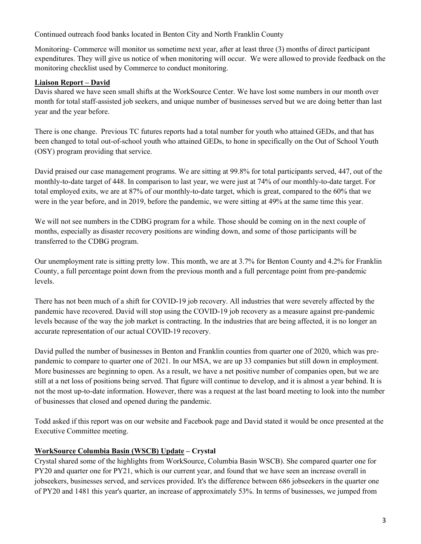Continued outreach food banks located in Benton City and North Franklin County

Monitoring- Commerce will monitor us sometime next year, after at least three (3) months of direct participant expenditures. They will give us notice of when monitoring will occur. We were allowed to provide feedback on the monitoring checklist used by Commerce to conduct monitoring.

# **Liaison Report – David**

Davis shared we have seen small shifts at the WorkSource Center. We have lost some numbers in our month over month for total staff-assisted job seekers, and unique number of businesses served but we are doing better than last year and the year before.

There is one change. Previous TC futures reports had a total number for youth who attained GEDs, and that has been changed to total out-of-school youth who attained GEDs, to hone in specifically on the Out of School Youth (OSY) program providing that service.

David praised our case management programs. We are sitting at 99.8% for total participants served, 447, out of the monthly-to-date target of 448. In comparison to last year, we were just at 74% of our monthly-to-date target. For total employed exits, we are at 87% of our monthly-to-date target, which is great, compared to the 60% that we were in the year before, and in 2019, before the pandemic, we were sitting at 49% at the same time this year.

We will not see numbers in the CDBG program for a while. Those should be coming on in the next couple of months, especially as disaster recovery positions are winding down, and some of those participants will be transferred to the CDBG program.

Our unemployment rate is sitting pretty low. This month, we are at 3.7% for Benton County and 4.2% for Franklin County, a full percentage point down from the previous month and a full percentage point from pre-pandemic levels.

There has not been much of a shift for COVID-19 job recovery. All industries that were severely affected by the pandemic have recovered. David will stop using the COVID-19 job recovery as a measure against pre-pandemic levels because of the way the job market is contracting. In the industries that are being affected, it is no longer an accurate representation of our actual COVID-19 recovery.

David pulled the number of businesses in Benton and Franklin counties from quarter one of 2020, which was prepandemic to compare to quarter one of 2021. In our MSA, we are up 33 companies but still down in employment. More businesses are beginning to open. As a result, we have a net positive number of companies open, but we are still at a net loss of positions being served. That figure will continue to develop, and it is almost a year behind. It is not the most up-to-date information. However, there was a request at the last board meeting to look into the number of businesses that closed and opened during the pandemic.

Todd asked if this report was on our website and Facebook page and David stated it would be once presented at the Executive Committee meeting.

# **WorkSource Columbia Basin (WSCB) Update – Crystal**

Crystal shared some of the highlights from WorkSource, Columbia Basin WSCB). She compared quarter one for PY20 and quarter one for PY21, which is our current year, and found that we have seen an increase overall in jobseekers, businesses served, and services provided. It's the difference between 686 jobseekers in the quarter one of PY20 and 1481 this year's quarter, an increase of approximately 53%. In terms of businesses, we jumped from